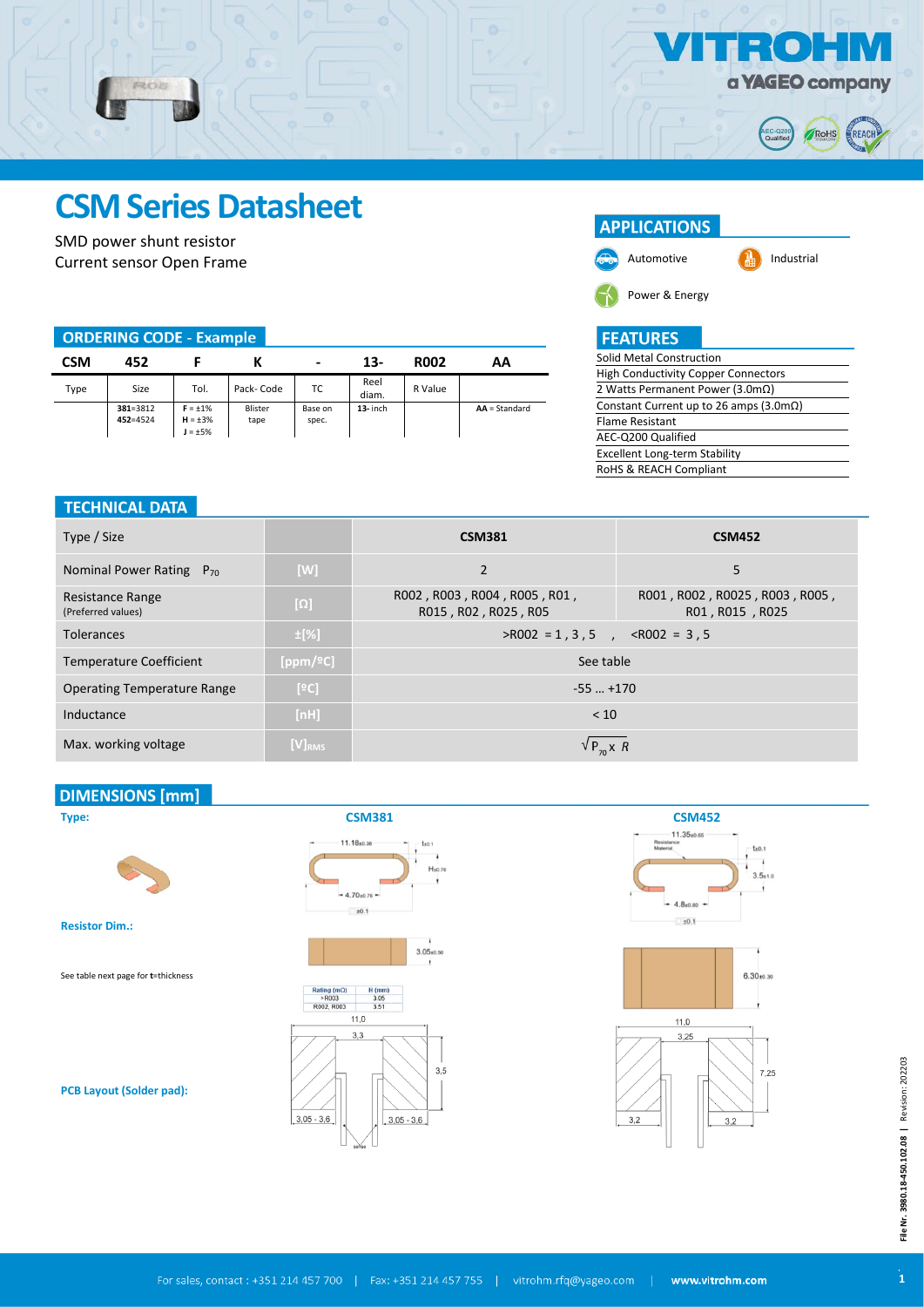

# **CSM Series Datasheet**

SMD power shunt resistor Current sensor Open Frame

PROB

# **ORDERING CODE - Example**

| <b>CSM</b> | 452                      |                                                |                 | $\blacksquare$   | $13-$         | <b>RO02</b> | АΑ              |
|------------|--------------------------|------------------------------------------------|-----------------|------------------|---------------|-------------|-----------------|
| Type       | Size                     | Tol.                                           | Pack-Code       | ТC               | Reel<br>diam. | R Value     |                 |
|            | 381=3812<br>$452 = 4524$ | $F = \pm 1\%$<br>$H = \pm 3\%$<br>$J = \pm 5%$ | Blister<br>tape | Base on<br>spec. | $13$ - inch   |             | $AA = Standard$ |

# **APPLICATIONS**



Automotive **Industrial** 

Power & Energy

# **FEATURES**

| Solid Metal Construction                        |
|-------------------------------------------------|
| <b>High Conductivity Copper Connectors</b>      |
| 2 Watts Permanent Power (3.0m $\Omega$ )        |
| Constant Current up to 26 amps (3.0m $\Omega$ ) |
| <b>Flame Resistant</b>                          |
| AEC-Q200 Qualified                              |
| <b>Excellent Long-term Stability</b>            |
| RoHS & REACH Compliant                          |
|                                                 |

### **TECHNICAL DATA**

| Type / Size                            |             | <b>CSM381</b>                                        | <b>CSM452</b>                                     |  |  |  |
|----------------------------------------|-------------|------------------------------------------------------|---------------------------------------------------|--|--|--|
| Nominal Power Rating $P_{70}$          | [W]         | $\overline{2}$                                       | 5                                                 |  |  |  |
| Resistance Range<br>(Preferred values) | $[\Omega]$  | R002, R003, R004, R005, R01,<br>R015, R02, R025, R05 | R001, R002, R0025, R003, R005,<br>R01, R015, R025 |  |  |  |
| <b>Tolerances</b>                      | $\pm$ [%]   | $>$ ROO2 = 1, 3, 5, $<$ ROO2 = 3, 5                  |                                                   |  |  |  |
| <b>Temperature Coefficient</b>         | [ppm/ºC]    | See table                                            |                                                   |  |  |  |
| <b>Operating Temperature Range</b>     | [°C]        | $-55$ $+170$                                         |                                                   |  |  |  |
| Inductance                             | [nh]        | < 10                                                 |                                                   |  |  |  |
| Max. working voltage                   | $[V]_{RMS}$ | $V P_{70} X R$                                       |                                                   |  |  |  |

## **DIMENSIONS [mm]**



**Resistor Dim.:**

**Type:**

See table next page for **t**=thickness

**PCB Layout (Solder pad):**





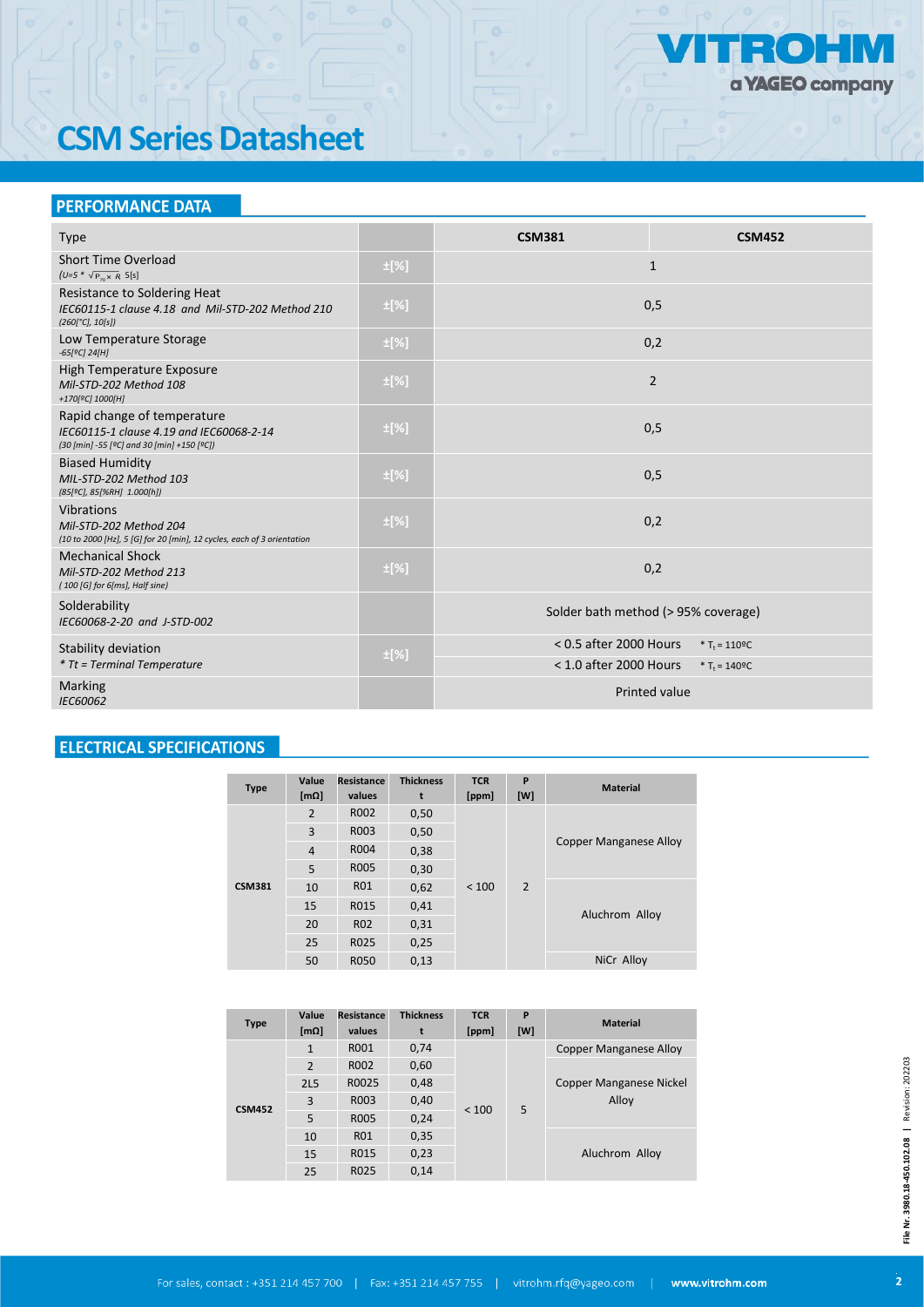

# **CSM Series Datasheet**

# **PERFORMANCE DATA**

| <b>Type</b>                                                                                                           |           | <b>CSM381</b>                       | <b>CSM452</b>                |  |  |  |
|-----------------------------------------------------------------------------------------------------------------------|-----------|-------------------------------------|------------------------------|--|--|--|
| Short Time Overload<br>$(U=5 * \sqrt{P_{70} \times R} 5[s])$                                                          | $\pm$ [%] |                                     | $\mathbf{1}$                 |  |  |  |
| Resistance to Soldering Heat<br>IEC60115-1 clause 4.18 and Mil-STD-202 Method 210<br>$(260[^{\circ}C], 10[s])$        | $\pm$ [%] | 0,5                                 |                              |  |  |  |
| Low Temperature Storage<br>$-65[°C]$ 24[H]                                                                            | $\pm$ [%] | 0,2                                 |                              |  |  |  |
| High Temperature Exposure<br>Mil-STD-202 Method 108<br>+170[ <sup>o</sup> C] 1000[H]                                  | $\pm$ [%] | 2                                   |                              |  |  |  |
| Rapid change of temperature<br>IEC60115-1 clause 4.19 and IEC60068-2-14<br>(30 [min] -55 [°C] and 30 [min] +150 [°C]) | $\pm$ [%] |                                     | 0,5                          |  |  |  |
| <b>Biased Humidity</b><br>MIL-STD-202 Method 103<br>(85[ºC], 85[%RH] 1.000[h])                                        | $\pm$ [%] | 0,5                                 |                              |  |  |  |
| Vibrations<br>Mil-STD-202 Method 204<br>(10 to 2000 [Hz], 5 [G] for 20 [min], 12 cycles, each of 3 orientation        | $\pm$ [%] | 0,2                                 |                              |  |  |  |
| <b>Mechanical Shock</b><br>Mil-STD-202 Method 213<br>(100 [G] for 6[ms], Half sine)                                   | $\pm$ [%] | 0,2                                 |                              |  |  |  |
| Solderability<br>IEC60068-2-20 and J-STD-002                                                                          |           | Solder bath method (> 95% coverage) |                              |  |  |  |
| Stability deviation                                                                                                   | $\pm$ [%] | $< 0.5$ after 2000 Hours            | * $T_t = 110^{\circ}C$       |  |  |  |
| <i>* Tt = Terminal Temperature</i>                                                                                    |           | $<$ 1.0 after 2000 Hours            | * $T_t = 140$ <sup>o</sup> C |  |  |  |
| Marking<br>IEC60062                                                                                                   |           |                                     | <b>Printed value</b>         |  |  |  |

# **ELECTRICAL SPECIFICATIONS**

| <b>Type</b>   | Value<br>[m $\Omega$ ] | Resistance<br>values | <b>Thickness</b><br>t | <b>TCR</b><br>[ppm] | P<br>[W]       | <b>Material</b>               |  |
|---------------|------------------------|----------------------|-----------------------|---------------------|----------------|-------------------------------|--|
|               | 2                      | R002                 | 0,50                  | < 100               | $\overline{2}$ | <b>Copper Manganese Alloy</b> |  |
|               | 3                      | R003                 | 0,50                  |                     |                |                               |  |
|               | $\overline{4}$         | R004                 | 0,38                  |                     |                |                               |  |
| <b>CSM381</b> | 5                      | <b>R005</b>          | 0,30                  |                     |                |                               |  |
|               | 10                     | <b>R01</b>           | 0,62                  |                     |                | Aluchrom Alloy                |  |
|               | 15                     | R015                 | 0,41                  |                     |                |                               |  |
|               | 20                     | <b>R02</b>           | 0,31                  |                     |                |                               |  |
|               | 25                     | R025                 | 0,25                  |                     |                |                               |  |
|               | 50                     | <b>R050</b>          | 0,13                  |                     |                | NiCr Alloy                    |  |

| <b>Type</b>   | Value          | Resistance  | <b>Thickness</b> | <b>TCR</b> | P   | <b>Material</b>               |
|---------------|----------------|-------------|------------------|------------|-----|-------------------------------|
|               | $[m\Omega]$    | values      | t                | [ppm]      | [W] |                               |
|               | $\mathbf{1}$   | R001        | 0,74             | < 100      | 5   | <b>Copper Manganese Alloy</b> |
|               | $\overline{2}$ | R002        | 0,60             |            |     |                               |
|               | <b>2L5</b>     | R0025       | 0,48             |            |     | Copper Manganese Nickel       |
| <b>CSM452</b> | 3              | R003        | 0,40             |            |     | Alloy                         |
|               | 5              | <b>RO05</b> | 0,24             |            |     |                               |
|               | 10             | <b>R01</b>  | 0,35             |            |     |                               |
|               | 15             | R015        | 0,23             |            |     | Aluchrom Alloy                |
|               | 25             | R025        | 0,14             |            |     |                               |